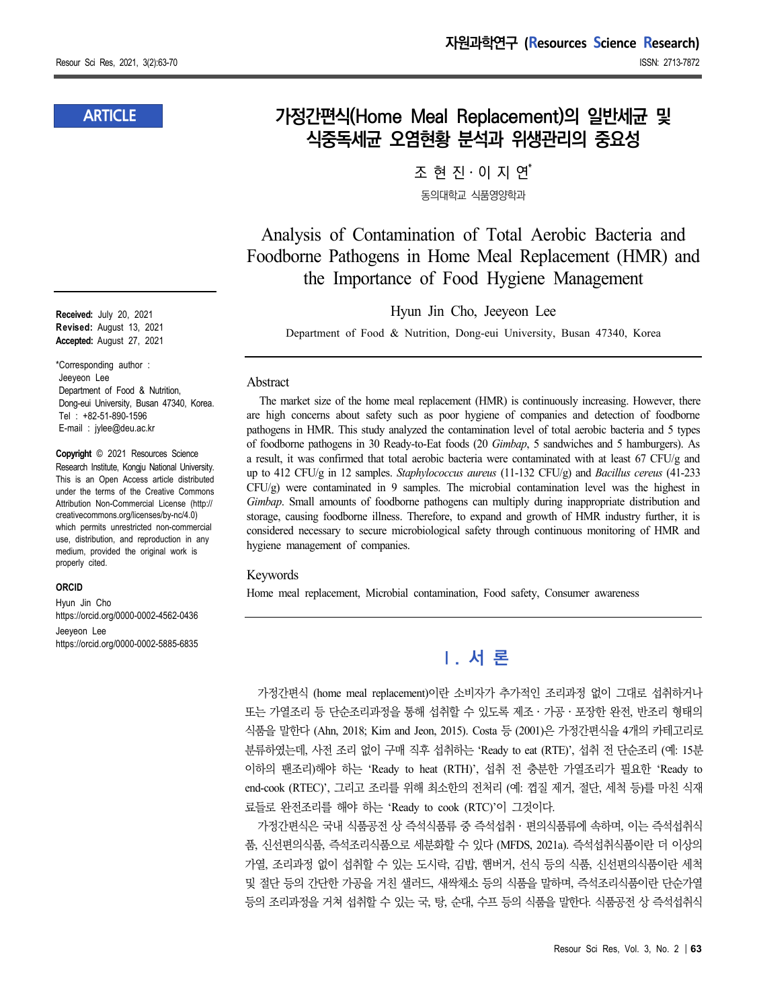### **ARTICLE**

**Received:** July 20, 2021 **Revised:** August 13, 2021 **Accepted:** August 27, 2021

\*Corresponding author : Jeeyeon Lee Department of Food & Nutrition, Dong-eui University, Busan 47340, Korea. Tel : +82-51-890-1596 E-mail : jylee@deu.ac.kr

**Copyright** © 2021 Resources Science Research Institute, Kongju National University. This is an Open Access article distributed under the terms of the Creative Commons Attribution Non-Commercial License (http:// creativecommons.org/licenses/by-nc/4.0) which permits unrestricted non-commercial use, distribution, and reproduction in any medium, provided the original work is properly cited.

#### **ORCID**

Hyun Jin Cho https://orcid.org/0000-0002-4562-0436 Jeeyeon Lee https://orcid.org/0000-0002-5885-6835

## **가정간편식(Home Meal Replacement)의 일반세균 및 식중독세균 오염현황 분석과 위생관리의 중요성**

조 현 진․이 지 연 \* 동의대학교 식품영양학과

Analysis of Contamination of Total Aerobic Bacteria and Foodborne Pathogens in Home Meal Replacement (HMR) and the Importance of Food Hygiene Management

Hyun Jin Cho, Jeeyeon Lee

Department of Food & Nutrition, Dong-eui University, Busan 47340, Korea

#### Abstract

The market size of the home meal replacement (HMR) is continuously increasing. However, there are high concerns about safety such as poor hygiene of companies and detection of foodborne pathogens in HMR. This study analyzed the contamination level of total aerobic bacteria and 5 types of foodborne pathogens in 30 Ready-to-Eat foods (20 *Gimbap*, 5 sandwiches and 5 hamburgers). As a result, it was confirmed that total aerobic bacteria were contaminated with at least 67 CFU/g and up to 412 CFU/g in 12 samples. *Staphylococcus aureus* (11-132 CFU/g) and *Bacillus cereus* (41-233 CFU/g) were contaminated in 9 samples. The microbial contamination level was the highest in *Gimbap*. Small amounts of foodborne pathogens can multiply during inappropriate distribution and storage, causing foodborne illness. Therefore, to expand and growth of HMR industry further, it is considered necessary to secure microbiological safety through continuous monitoring of HMR and hygiene management of companies.

#### Keywords

Home meal replacement, Microbial contamination, Food safety, Consumer awareness

# **Ⅰ. 서 론**

가정간편식 (home meal replacement)이란 소비자가 추가적인 조리과정 없이 그대로 섭취하거나 또는 가열조리 등 단순조리과정을 통해 섭취할 수 있도록 제조․가공․포장한 완전, 반조리 형태의 식품을 말한다 (Ahn, 2018; Kim and Jeon, 2015). Costa 등 (2001)은 가정간편식을 4개의 카테고리로 분류하였는데, 사전 조리 없이 구매 직후 섭취하는 'Ready to eat (RTE)', 섭취 전 단순조리 (예: 15분 이하의 팬조리)해야 하는 'Ready to heat (RTH)', 섭취 전 충분한 가열조리가 필요한 'Ready to end-cook (RTEC)', 그리고 조리를 위해 최소한의 전처리 (예: 껍질 제거, 절단, 세척 등)를 마친 식재 료들로 완전조리를 해야 하는 'Ready to cook (RTC)'이 그것이다.

가정간편식은 국내 식품공전 상 즉석식품류 중 즉석섭취․편의식품류에 속하며, 이는 즉석섭취식 품, 신선편의식품, 즉석조리식품으로 세분화할 수 있다 (MFDS, 2021a). 즉석섭취식품이란 더 이상의 가열, 조리과정 없이 섭취할 수 있는 도시락, 김밥, 햄버거, 선식 등의 식품, 신선편의식품이란 세척 및 절단 등의 간단한 가공을 거친 샐러드, 새싹채소 등의 식품을 말하며, 즉석조리식품이란 단순가열 등의 조리과정을 거쳐 섭취할 수 있는 국, 탕, 순대, 수프 등의 식품을 말한다. 식품공전 상 즉석섭취식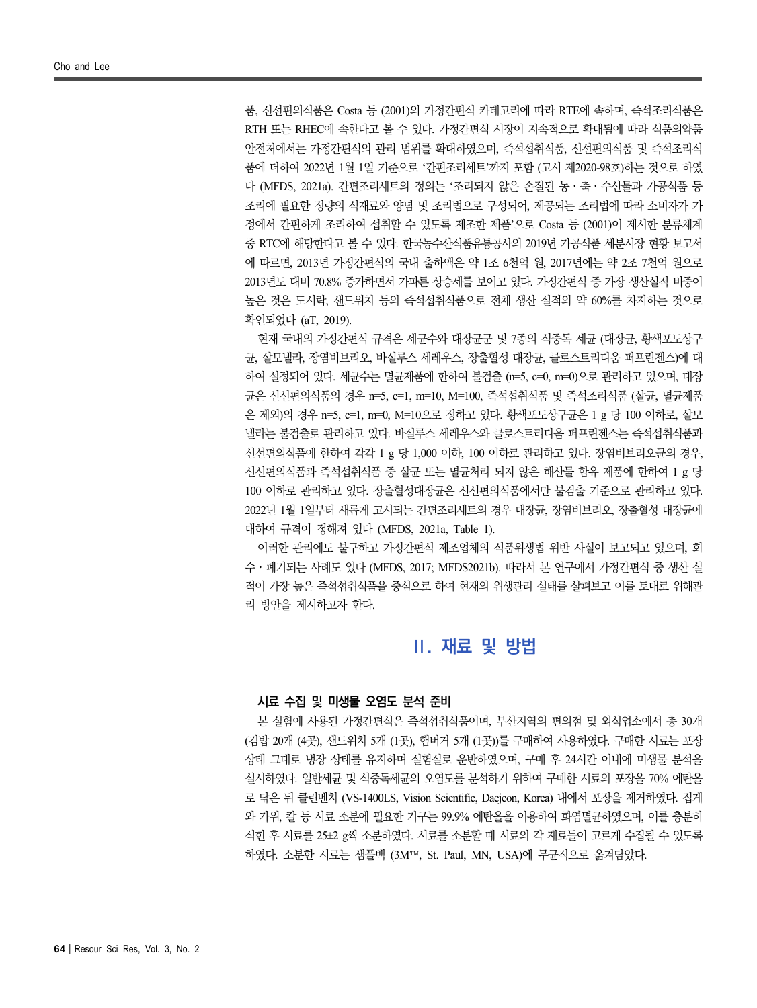품, 신선편의식품은 Costa 등 (2001)의 가정간편식 카테고리에 따라 RTE에 속하며, 즉석조리식품은 RTH 또는 RHEC에 속한다고 볼 수 있다. 가정간편식 시장이 지속적으로 확대됨에 따라 식품의약품 안전처에서는 가정간편식의 관리 범위를 확대하였으며, 즉석섭취식품, 신선편의식품 및 즉석조리식 품에 더하여 2022년 1월 1일 기준으로 '간편조리세트'까지 포함 (고시 제2020-98호)하는 것으로 하였 다 (MFDS, 2021a). 간편조리세트의 정의는 '조리되지 않은 손질된 농․축․수산물과 가공식품 등 조리에 필요한 정량의 식재료와 양념 및 조리법으로 구성되어, 제공되는 조리법에 따라 소비자가 가 정에서 간편하게 조리하여 섭취할 수 있도록 제조한 제품'으로 Costa 등 (2001)이 제시한 분류체계 중 RTC에 해당한다고 볼 수 있다. 한국농수산식품유통공사의 2019년 가공식품 세분시장 현황 보고서 에 따르면, 2013년 가정간편식의 국내 출하액은 약 1조 6천억 원, 2017년에는 약 2조 7천억 원으로 2013년도 대비 70.8% 증가하면서 가파른 상승세를 보이고 있다. 가정간편식 중 가장 생산실적 비중이 높은 것은 도시락, 샌드위치 등의 즉석섭취식품으로 전체 생산 실적의 약 60%를 차지하는 것으로 확인되었다 (aT, 2019).

현재 국내의 가정간편식 규격은 세균수와 대장균군 및 7종의 식중독 세균 (대장균, 황색포도상구 균, 살모넬라, 장염비브리오, 바실루스 세레우스, 장출혈성 대장균, 클로스트리디움 퍼프린젠스)에 대 하여 설정되어 있다. 세균수는 멸균제품에 한하여 불검출 (n=5, c=0, m=0)으로 관리하고 있으며, 대장 균은 신선편의식품의 경우 n=5, c=1, m=10, M=100, 즉석섭취식품 및 즉석조리식품 (살균, 멸균제품 은 제외)의 경우 n=5, c=1, m=0, M=10으로 정하고 있다. 황색포도상구균은 1 g 당 100 이하로, 살모 넬라는 불검출로 관리하고 있다. 바실루스 세레우스와 클로스트리디움 퍼프린젠스는 즉석섭취식품과 신선편의식품에 한하여 각각 1 g 당 1,000 이하, 100 이하로 관리하고 있다. 장염비브리오균의 경우, 신선편의식품과 즉석섭취식품 중 살균 또는 멸균처리 되지 않은 해산물 함유 제품에 한하여 1 g 당 100 이하로 관리하고 있다. 장출혈성대장균은 신선편의식품에서만 불검출 기준으로 관리하고 있다.<br>2022년 1월 1일부터 새롭게 고시되는 간편조리세트의 경우 대장균, 장염비브리오, 장출혈성 대장균에 대하여 규격이 정해져 있다 (MFDS, 2021a, Table 1).

이러한 관리에도 불구하고 가정간편식 제조업체의 식품위생법 위반 사실이 보고되고 있으며, 회 수․폐기되는 사례도 있다 (MFDS, 2017; MFDS2021b). 따라서 본 연구에서 가정간편식 중 생산 실 적이 가장 높은 즉석섭취식품을 중심으로 하여 현재의 위생관리 실태를 살펴보고 이를 토대로 위해관 리 방안을 제시하고자 한다.

### **Ⅱ. 재료 및 방법**

#### **시료 수집 및 미생물 오염도 분석 준비**

본 실험에 사용된 가정간편식은 즉석섭취식품이며, 부산지역의 편의점 및 외식업소에서 총 30개 (김밥 20개 (4곳), 샌드위치 5개 (1곳), 햄버거 5개 (1곳))를 구매하여 사용하였다. 구매한 시료는 포장 상태 그대로 냉장 상태를 유지하며 실험실로 운반하였으며, 구매 후 24시간 이내에 미생물 분석을 실시하였다. 일반세균 및 식중독세균의 오염도를 분석하기 위하여 구매한 시료의 포장을 70% 에탄올 로 닦은 뒤 클린벤치 (VS-1400LS, Vision Scientific, Daejeon, Korea) 내에서 포장을 제거하였다. 집게 와 가위, 칼 등 시료 소분에 필요한 기구는 99.9% 에탄올을 이용하여 화염멸균하였으며, 이를 충분히 식힌 후 시료를 25±2 g씩 소분하였다. 시료를 소분할 때 시료의 각 재료들이 고르게 수집될 수 있도록 하였다. 소분한 시료는 샘플백 (3M™, St. Paul, MN, USA)에 무균적으로 옮겨담았다.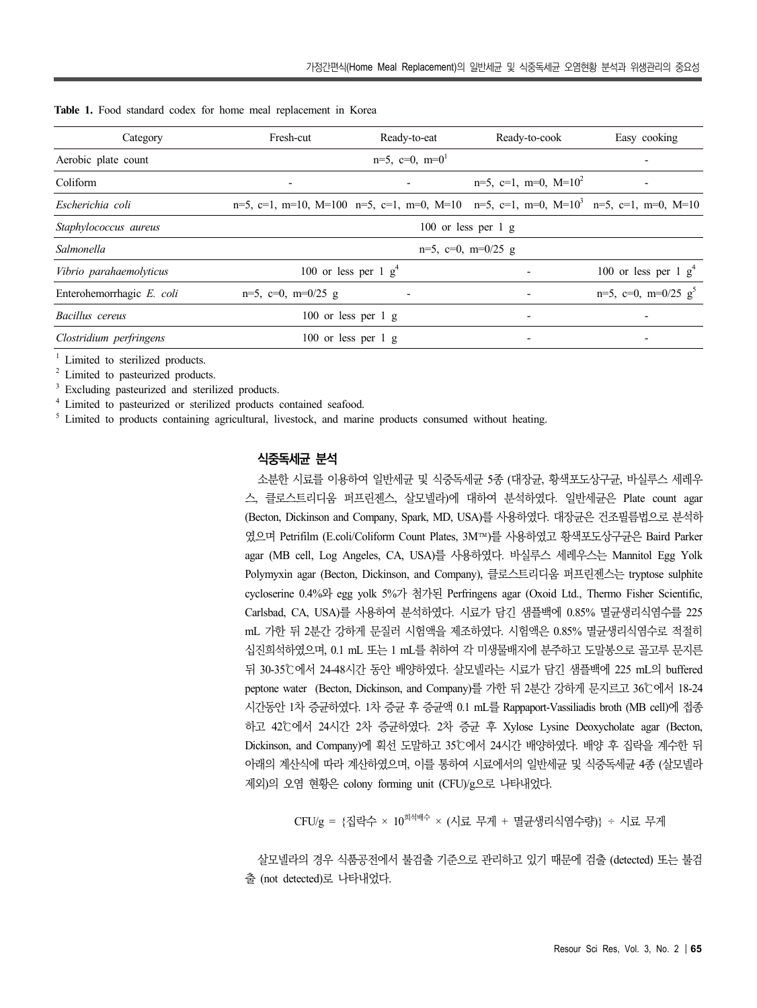| Category                  | Fresh-cut                                                                                                                       | Ready-to-eat | Ready-to-cook                    | Easy cooking                  |  |  |  |  |
|---------------------------|---------------------------------------------------------------------------------------------------------------------------------|--------------|----------------------------------|-------------------------------|--|--|--|--|
| Aerobic plate count       | $n=5$ , $c=0$ , $m=0$ <sup>1</sup>                                                                                              |              |                                  |                               |  |  |  |  |
| Coliform                  | $\overline{\phantom{a}}$                                                                                                        |              | $n=5$ , $c=1$ , $m=0$ , $M=10^2$ |                               |  |  |  |  |
| Escherichia coli          | $n=5$ , $c=1$ , $m=10$ , $M=100$ $n=5$ , $c=1$ , $m=0$ , $M=10$ $n=5$ , $c=1$ , $m=0$ , $M=10^3$ $n=5$ , $c=1$ , $m=0$ , $M=10$ |              |                                  |                               |  |  |  |  |
| Staphylococcus aureus     | 100 or less per $1 \text{ g}$                                                                                                   |              |                                  |                               |  |  |  |  |
| Salmonella                | $n=5$ , $c=0$ , $m=0/25$ g                                                                                                      |              |                                  |                               |  |  |  |  |
| Vibrio parahaemolyticus   | 100 or less per 1 $g4$                                                                                                          |              | $\overline{\phantom{a}}$         | 100 or less per 1 $g4$        |  |  |  |  |
| Enterohemorrhagic E. coli | $n=5$ , $c=0$ , $m=0/25$ g                                                                                                      |              |                                  | $n=5$ , $c=0$ , $m=0/25$ $g5$ |  |  |  |  |
| Bacillus cereus           | 100 or less per 1 g                                                                                                             |              | $\overline{\phantom{a}}$         | $\overline{\phantom{a}}$      |  |  |  |  |
| Clostridium perfringens   | $100$ or less per 1 g                                                                                                           |              | $\overline{\phantom{a}}$         |                               |  |  |  |  |

**Table 1.** Food standard codex for home meal replacement in Korea

Limited to sterilized products.

<sup>2</sup> Limited to pasteurized products.

<sup>3</sup> Excluding pasteurized and sterilized products.

<sup>4</sup> Limited to pasteurized or sterilized products contained seafood.

<sup>5</sup> Limited to products containing agricultural, livestock, and marine products consumed without heating.

#### **식중독세균 분석**

소분한 시료를 이용하여 일반세균 및 식중독세균 5종 (대장균, 황색포도상구균, 바실루스 세레우 스, 클로스트리디움 퍼프린젠스, 살모넬라)에 대하여 분석하였다. 일반세균은 Plate count agar (Becton, Dickinson and Company, Spark, MD, USA)를 사용하였다. 대장균은 건조필름법으로 분석하 였으며 Petrifilm (E.coli/Coliform Count Plates, 3M™)를 사용하였고 황색포도상구균은 Baird Parker agar (MB cell, Log Angeles, CA, USA)를 사용하였다. 바실루스 세레우스는 Mannitol Egg Yolk Polymyxin agar (Becton, Dickinson, and Company), 클로스트리디움 퍼프린젠스는 tryptose sulphite cycloserine 0.4%와 egg yolk 5%가 첨가된 Perfringens agar (Oxoid Ltd., Thermo Fisher Scientific, Carlsbad, CA, USA)를 사용하여 분석하였다. 시료가 담긴 샘플백에 0.85% 멸균생리식염수를 225 mL 가한 뒤 2분간 강하게 문질러 시험액을 제조하였다. 시험액은 0.85% 멸균생리식염수로 적절히 십진희석하였으며, 0.1 mL 또는 1 mL를 취하여 각 미생물배지에 분주하고 도말봉으로 골고루 문지른 뒤 30-35℃에서 24-48시간 동안 배양하였다. 살모넬라는 시료가 담긴 샘플백에 225 mL의 buffered peptone water (Becton, Dickinson, and Company)를 가한 뒤 2분간 강하게 문지르고 36℃에서 18-24 시간동안 1차 증균하였다. 1차 증균 후 증균액 0.1 mL를 Rappaport-Vassiliadis broth (MB cell)에 접종 하고 42℃에서 24시간 2차 증균하였다. 2차 증균 후 Xylose Lysine Deoxycholate agar (Becton, Dickinson, and Company)에 획선 도말하고 35℃에서 24시간 배양하였다. 배양 후 집락을 계수한 뒤 아래의 계산식에 따라 계산하였으며, 이를 통하여 시료에서의 일반세균 및 식중독세균 4종 (살모넬라 제외)의 오염 현황은 colony forming unit (CFU)/g으로 나타내었다.

 $CFU/g = {$ 집락수 ×  $10^{3\frac{dq+q}{r}} \times (12.4 + 9.4 + 9.4 + 12.4 + 12.4 + 12.4 + 12.4 + 12.4 + 12.4 + 12.4 + 12.4 + 12.4 + 12.4 + 12.4 + 12.4 + 12.4 + 12.4 + 12.4 + 12.4 + 12.4 + 12.4 + 12.4 + 12.4 + 12.4 + 12.4 + 12.4 + 12.4 + 12.4 + 12.4 + 12.4 + 12.4 + 12.4 +$ 

살모넬라의 경우 식품공전에서 불검출 기준으로 관리하고 있기 때문에 검출 (detected) 또는 불검 출 (not detected)로 나타내었다.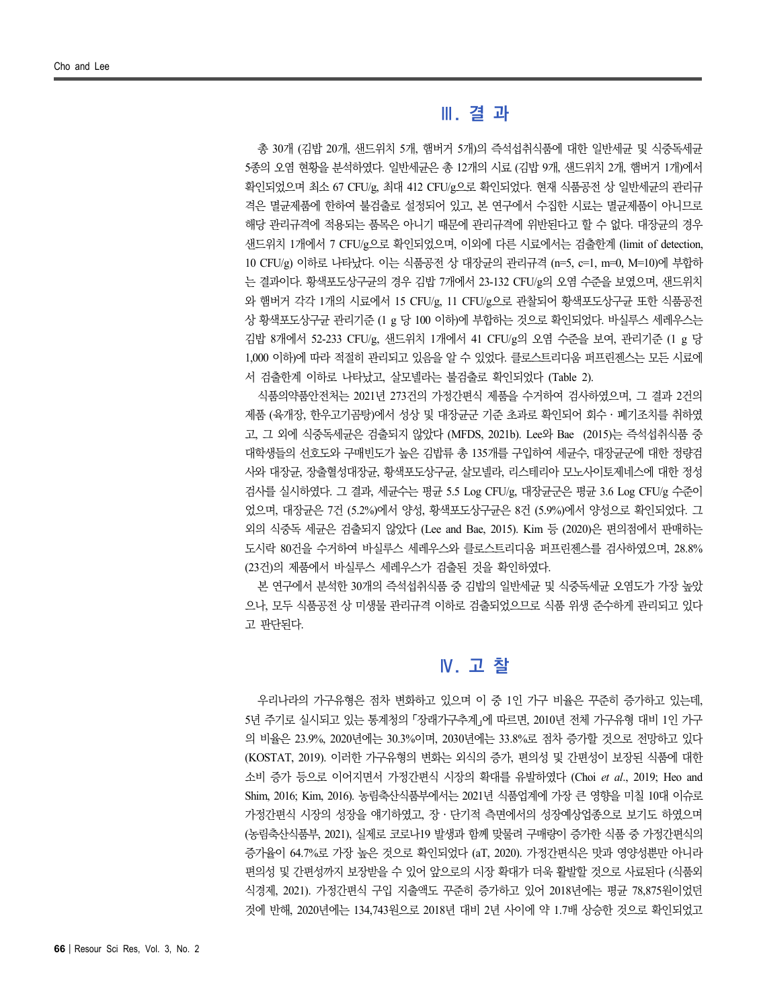### **Ⅲ. 결 과**

총 30개 (김밥 20개, 샌드위치 5개, 햄버거 5개)의 즉석섭취식품에 대한 일반세균 및 식중독세균 5종의 오염 현황을 분석하였다. 일반세균은 총 12개의 시료 (김밥 9개, 샌드위치 2개, 햄버거 1개)에서 확인되었으며 최소 67 CFU/g, 최대 412 CFU/g으로 확인되었다. 현재 식품공전 상 일반세균의 관리규 격은 멸균제품에 한하여 불검출로 설정되어 있고, 본 연구에서 수집한 시료는 멸균제품이 아니므로 해당 관리규격에 적용되는 품목은 아니기 때문에 관리규격에 위반된다고 할 수 없다. 대장균의 경우 샌드위치 1개에서 7 CFU/g으로 확인되었으며, 이외에 다른 시료에서는 검출한계 (limit of detection, 10 CFU/g) 이하로 나타났다. 이는 식품공전 상 대장균의 관리규격 (n=5, c=1, m=0, M=10)에 부합하 는 결과이다. 황색포도상구균의 경우 김밥 7개에서 23-132 CFU/g의 오염 수준을 보였으며, 샌드위치 와 햄버거 각각 1개의 시료에서 15 CFU/g, 11 CFU/g으로 관찰되어 황색포도상구균 또한 식품공전 상 황색포도상구균 관리기준 (1 g 당 100 이하)에 부합하는 것으로 확인되었다. 바실루스 세레우스는 김밥 8개에서 52-233 CFU/g, 샌드위치 1개에서 41 CFU/g의 오염 수준을 보여, 관리기준 (1 g 당 1,000 이하)에 따라 적절히 관리되고 있음을 알 수 있었다. 클로스트리디움 퍼프린젠스는 모든 시료에 서 검출한계 이하로 나타났고, 살모넬라는 불검출로 확인되었다 (Table 2).

식품의약품안전처는 2021년 273건의 가정간편식 제품을 수거하여 검사하였으며, 그 결과 2건의 제품 (육개장, 한우고기곰탕)에서 성상 및 대장균군 기준 초과로 확인되어 회수 · 폐기조치를 취하였 고, 그 외에 식중독세균은 검출되지 않았다 (MFDS, 2021b). Lee와 Bae (2015)는 즉석섭취식품 중 대학생들의 선호도와 구매빈도가 높은 김밥류 총 135개를 구입하여 세균수, 대장균군에 대한 정량검 사와 대장균, 장출혈성대장균, 황색포도상구균, 살모넬라, 리스테리아 모노사이토제네스에 대한 정성 검사를 실시하였다. 그 결과, 세균수는 평균 5.5 Log CFU/g, 대장균군은 평균 3.6 Log CFU/g 수준이 었으며, 대장균은 7건 (5.2%)에서 양성, 황색포도상구균은 8건 (5.9%)에서 양성으로 확인되었다. 그 외의 식중독 세균은 검출되지 않았다 (Lee and Bae, 2015). Kim 등 (2020)은 편의점에서 판매하는 도시락 80건을 수거하여 바실루스 세레우스와 클로스트리디움 퍼프린젠스를 검사하였으며, 28.8% (23건)의 제품에서 바실루스 세레우스가 검출된 것을 확인하였다.

본 연구에서 분석한 30개의 즉석섭취식품 중 김밥의 일반세균 및 식중독세균 오염도가 가장 높았 으나, 모두 식품공전 상 미생물 관리규격 이하로 검출되었으므로 식품 위생 준수하게 관리되고 있다 고 판단된다.

### **Ⅳ. 고 찰**

우리나라의 가구유형은 점차 변화하고 있으며 이 중 1인 가구 비율은 꾸준히 증가하고 있는데, 5년 주기로 실시되고 있는 통계청의 「장래가구추계」에 따르면, 2010년 전체 가구유형 대비 1인 가구 의 비율은 23.9%, 2020년에는 30.3%이며, 2030년에는 33.8%로 점차 증가할 것으로 전망하고 있다 (KOSTAT, 2019). 이러한 가구유형의 변화는 외식의 증가, 편의성 및 간편성이 보장된 식품에 대한 소비 증가 등으로 이어지면서 가정간편식 시장의 확대를 유발하였다 (Choi *et al*., 2019; Heo and Shim, 2016; Kim, 2016). 농림축산식품부에서는 2021년 식품업계에 가장 큰 영향을 미칠 10대 이슈로 가정간편식 시장의 성장을 얘기하였고, 장․단기적 측면에서의 성장예상업종으로 보기도 하였으며 (농림축산식품부, 2021), 실제로 코로나19 발생과 함께 맞물려 구매량이 증가한 식품 중 가정간편식의 증가율이 64.7%로 가장 높은 것으로 확인되었다 (aT, 2020). 가정간편식은 맛과 영양성뿐만 아니라 편의성 및 간편성까지 보장받을 수 있어 앞으로의 시장 확대가 더욱 활발할 것으로 사료된다 (식품외 식경제, 2021). 가정간편식 구입 지출액도 꾸준히 증가하고 있어 2018년에는 평균 78,875원이었던 것에 반해, 2020년에는 134,743원으로 2018년 대비 2년 사이에 약 1.7배 상승한 것으로 확인되었고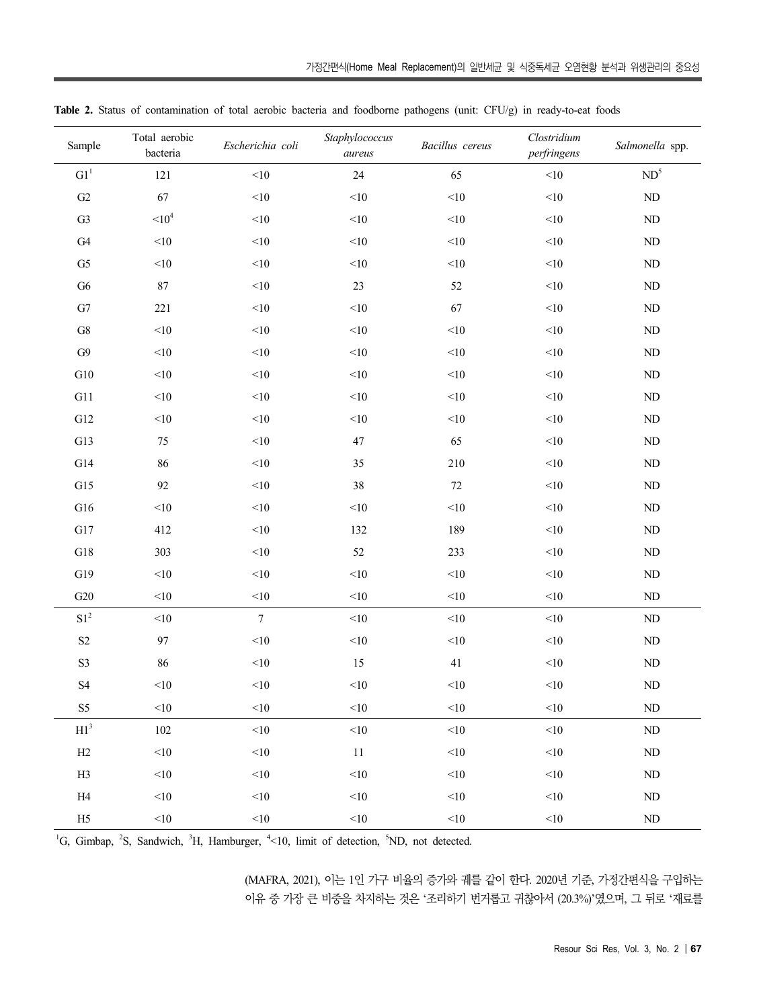| Sample                     | Total aerobic<br>bacteria | Escherichia coli | Staphylococcus<br>aureus | Bacillus cereus | Clostridium<br>perfringens | Salmonella spp. |
|----------------------------|---------------------------|------------------|--------------------------|-----------------|----------------------------|-----------------|
| ${\rm G1}^1$               | 121                       | $<\!\!10$        | 24                       | 65              | $<\!\!10$                  | $ND^5$          |
| $\mbox{G2}$                | 67                        | $<10$            | $<\!\!10$                | $<\!\!10$       | $<\!\!10$                  | $\rm ND$        |
| G3                         | $110^4$                   | <10              | $<\!\!10$                | $<\!\!10$       | $<\!\!10$                  | $\rm ND$        |
| G4                         | $<\!\!10$                 | $<\!\!10$        | $<\!\!10$                | $<\!\!10$       | $<\!\!10$                  | $\rm ND$        |
| G5                         | $<\!\!10$                 | $<\!\!10$        | $<\!\!10$                | $<\!\!10$       | $<\!\!10$                  | $\rm ND$        |
| G6                         | $87\,$                    | $<\!\!10$        | $23\,$                   | $52\,$          | $<\!\!10$                  | $\rm ND$        |
| ${\rm G}7$                 | 221                       | $<\!\!10$        | $<\!\!10$                | 67              | $<\!\!10$                  | $\rm ND$        |
| ${\rm G}8$                 | $<\!\!10$                 | $<\!\!10$        | $<\!\!10$                | $<\!\!10$       | $<\!\!10$                  | $\rm ND$        |
| ${\rm G}9$                 | $<\!\!10$                 | $<\!\!10$        | $<\!\!10$                | $<\!\!10$       | $<\!\!10$                  | $\rm ND$        |
| ${\rm G}10$                | $<\!\!10$                 | $<\!\!10$        | $<\!\!10$                | $<\!\!10$       | $<\!\!10$                  | $\rm ND$        |
| G11                        | $<\!\!10$                 | $<\!\!10$        | $<\!\!10$                | $<\!\!10$       | $<\!\!10$                  | $\rm ND$        |
| ${\rm G}12$                | $<\!\!10$                 | $<10$            | $<\!\!10$                | $<\!\!10$       | $<\!\!10$                  | $\rm ND$        |
| G13                        | $75\,$                    | $<\!\!10$        | $47\,$                   | 65              | $<\!\!10$                  | $\rm ND$        |
| G14                        | 86                        | $<\!\!10$        | $35\,$                   | $210\,$         | $<\!\!10$                  | $\rm ND$        |
| G15                        | 92                        | $<\!\!10$        | $38\,$                   | $72\,$          | $<\!\!10$                  | $\rm ND$        |
| ${\rm G}16$                | $<\!\!10$                 | $<\!\!10$        | $<\!\!10$                | $<\!\!10$       | $<\!\!10$                  | $\rm ND$        |
| ${\rm G}17$                | 412                       | $<\!\!10$        | 132                      | 189             | $<\!\!10$                  | $\rm ND$        |
| ${\rm G}18$                | 303                       | $<\!\!10$        | $52\,$                   | 233             | $<\!\!10$                  | $\rm ND$        |
| G19                        | $<$ 10                    | $<\!\!10$        | $<\!\!10$                | $<\!\!10$       | $<\!\!10$                  | $\rm ND$        |
| ${\rm G}20$                | $<\!\!10$                 | $<\!\!10$        | $<\!\!10$                | $<\!\!10$       | $<\!\!10$                  | $\rm ND$        |
| $\mathrm{S1}^2$            | $<\!\!10$                 | $\boldsymbol{7}$ | $<\!\!10$                | $<\!\!10$       | $<\!\!10$                  | $\rm ND$        |
| $\mathbf{S2}$              | 97                        | $<10$            | $<\!\!10$                | $<\!\!10$       | $<\!\!10$                  | $\rm ND$        |
| $\mathbf{S3}$              | 86                        | $<\!\!10$        | 15                       | 41              | $<\!\!10$                  | $\rm ND$        |
| $\ensuremath{\mathrm{S}}4$ | $<\!\!10$                 | $<\!\!10$        | $<\!\!10$                | $<\!\!10$       | $<\!\!10$                  | $\rm ND$        |
| S <sub>5</sub>             | $<\!\!10$                 | <10              | $<\!\!10$                | $<\!\!10$       | $<$ 10                     | $\rm ND$        |
| $\mathrm{H1}^3$            | $102\,$                   | <10              | $<$ 10                   | <10             | $<$ 10                     | $\rm ND$        |
| H2                         | $<\!\!10$                 | $<$ 10           | $11\,$                   | <10             | $<$ 10                     | $\rm ND$        |
| H3                         | $<$ 10                    | $<\!\!10$        | $<\!\!10$                | <10             | $<$ 10                     | $\rm ND$        |
| H4                         | $<\!\!10$                 | <10              | $<\!\!10$                | $<\!\!10$       | $<\!\!10$                  | $\rm ND$        |
| H5                         | $<$ 10                    | $<$ 10           | $<\!\!10$                | $<$ 10          | $<$ 10                     | $\rm ND$        |

**Table 2.** Status of contamination of total aerobic bacteria and foodborne pathogens (unit: CFU/g) in ready-to-eat foods

<sup>1</sup>G, Gimbap, <sup>2</sup>S, Sandwich, <sup>3</sup>H, Hamburger, <sup>4</sup><10, limit of detection, <sup>5</sup>ND, not detected.

(MAFRA, 2021), 이는 1인 가구 비율의 증가와 궤를 같이 한다. 2020년 기준, 가정간편식을 구입하는 이유 중 가장 큰 비중을 차지하는 것은 '조리하기 번거롭고 귀찮아서 (20.3%)'였으며, 그 뒤로 '재료를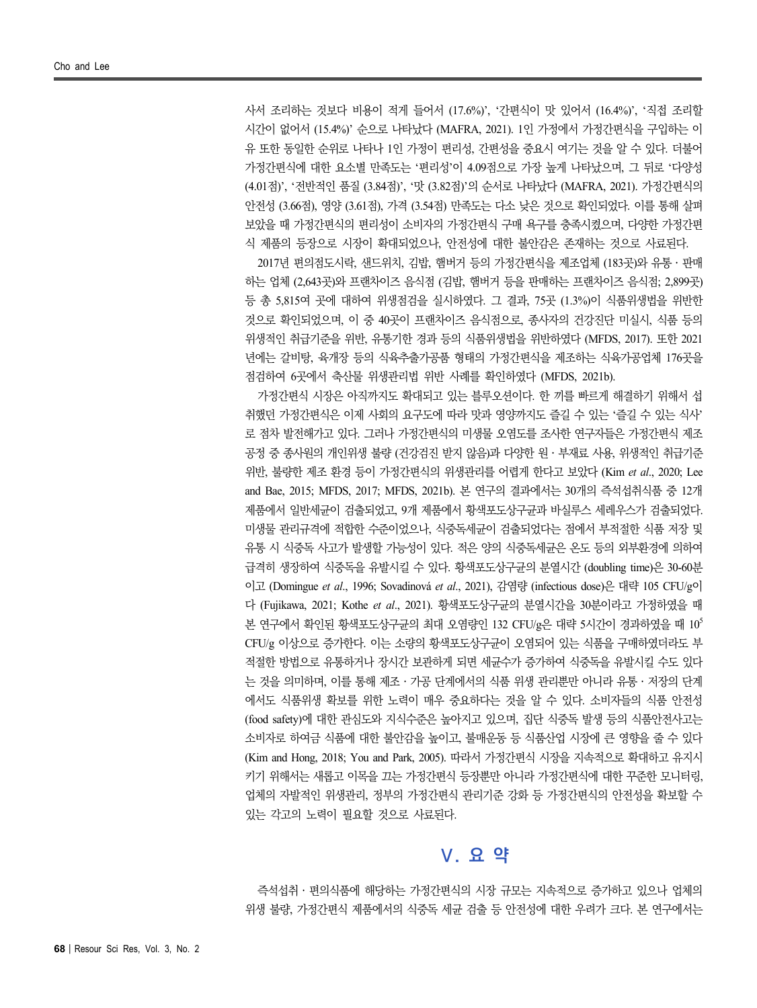사서 조리하는 것보다 비용이 적게 들어서 (17.6%)', '간편식이 맛 있어서 (16.4%)', '직접 조리할 시간이 없어서 (15.4%)' 순으로 나타났다 (MAFRA, 2021). 1인 가정에서 가정간편식을 구입하는 이 유 또한 동일한 순위로 나타나 1인 가정이 편리성, 간편성을 중요시 여기는 것을 알 수 있다. 더불어 가정간편식에 대한 요소별 만족도는 '편리성'이 4.09점으로 가장 높게 나타났으며, 그 뒤로 '다양성 (4.01점)', '전반적인 품질 (3.84점)', '맛 (3.82점)'의 순서로 나타났다 (MAFRA, 2021). 가정간편식의 안전성 (3.66점), 영양 (3.61점), 가격 (3.54점) 만족도는 다소 낮은 것으로 확인되었다. 이를 통해 살펴 보았을 때 가정간편식의 편리성이 소비자의 가정간편식 구매 욕구를 충족시켰으며, 다양한 가정간편

식 제품의 등장으로 시장이 확대되었으나, 안전성에 대한 불안감은 존재하는 것으로 사료된다. 2017년 편의점도시락, 샌드위치, 김밥, 햄버거 등의 가정간편식을 제조업체 (183곳)와 유통․판매 하는 업체 (2,643곳)와 프랜차이즈 음식점 (김밥, 햄버거 등을 판매하는 프랜차이즈 음식점; 2,899곳) 등 총 5,815여 곳에 대하여 위생점검을 실시하였다. 그 결과, 75곳 (1.3%)이 식품위생법을 위반한 것으로 확인되었으며, 이 중 40곳이 프랜차이즈 음식점으로, 종사자의 건강진단 미실시, 식품 등의 위생적인 취급기준을 위반, 유통기한 경과 등의 식품위생법을 위반하였다 (MFDS, 2017). 또한 2021 년에는 갈비탕, 육개장 등의 식육추출가공품 형태의 가정간편식을 제조하는 식육가공업체 176곳을 점검하여 6곳에서 축산물 위생관리법 위반 사례를 확인하였다 (MFDS, 2021b).

가정간편식 시장은 아직까지도 확대되고 있는 블루오션이다. 한 끼를 빠르게 해결하기 위해서 섭 취했던 가정간편식은 이제 사회의 요구도에 따라 맛과 영양까지도 즐길 수 있는 '즐길 수 있는 식사' 로 점차 발전해가고 있다. 그러나 가정간편식의 미생물 오염도를 조사한 연구자들은 가정간편식 제조 공정 중 종사원의 개인위생 불량 (건강검진 받지 않음)과 다양한 원․부재료 사용, 위생적인 취급기준 위반, 불량한 제조 환경 등이 가정간편식의 위생관리를 어렵게 한다고 보았다 (Kim *et al*., 2020; Lee and Bae, 2015; MFDS, 2017; MFDS, 2021b). 본 연구의 결과에서는 30개의 즉석섭취식품 중 12개 제품에서 일반세균이 검출되었고, 9개 제품에서 황색포도상구균과 바실루스 세레우스가 검출되었다. 미생물 관리규격에 적합한 수준이었으나, 식중독세균이 검출되었다는 점에서 부적절한 식품 저장 및 유통 시 식중독 사고가 발생할 가능성이 있다. 적은 양의 식중독세균은 온도 등의 외부환경에 의하여 급격히 생장하여 식중독을 유발시킬 수 있다. 황색포도상구균의 분열시간 (doubling time)은 30-60분 이고 (Domingue *et al*., 1996; Sovadinová *et al*., 2021), 감염량 (infectious dose)은 대략 105 CFU/g이 다 (Fujikawa, 2021; Kothe *et al*., 2021). 황색포도상구균의 분열시간을 30분이라고 가정하였을 때 본 연구에서 확인된 황색포도상구균의 최대 오염량인 132 CFU/g은 대략 5시간이 경과하였을 때 10° CFU/g 이상으로 증가한다. 이는 소량의 황색포도상구균이 오염되어 있는 식품을 구매하였더라도 부 적절한 방법으로 유통하거나 장시간 보관하게 되면 세균수가 증가하여 식중독을 유발시킬 수도 있다 는 것을 의미하며, 이를 통해 제조․가공 단계에서의 식품 위생 관리뿐만 아니라 유통․저장의 단계 에서도 식품위생 확보를 위한 노력이 매우 중요하다는 것을 알 수 있다. 소비자들의 식품 안전성 (food safety)에 대한 관심도와 지식수준은 높아지고 있으며, 집단 식중독 발생 등의 식품안전사고는 소비자로 하여금 식품에 대한 불안감을 높이고, 불매운동 등 식품산업 시장에 큰 영향을 줄 수 있다 (Kim and Hong, 2018; You and Park, 2005). 따라서 가정간편식 시장을 지속적으로 확대하고 유지시 키기 위해서는 새롭고 이목을 끄는 가정간편식 등장뿐만 아니라 가정간편식에 대한 꾸준한 모니터링, 업체의 자발적인 위생관리, 정부의 가정간편식 관리기준 강화 등 가정간편식의 안전성을 확보할 수 있는 각고의 노력이 필요할 것으로 사료된다.

### **Ⅴ. 요 약**

즉석섭취․편의식품에 해당하는 가정간편식의 시장 규모는 지속적으로 증가하고 있으나 업체의 위생 불량, 가정간편식 제품에서의 식중독 세균 검출 등 안전성에 대한 우려가 크다. 본 연구에서는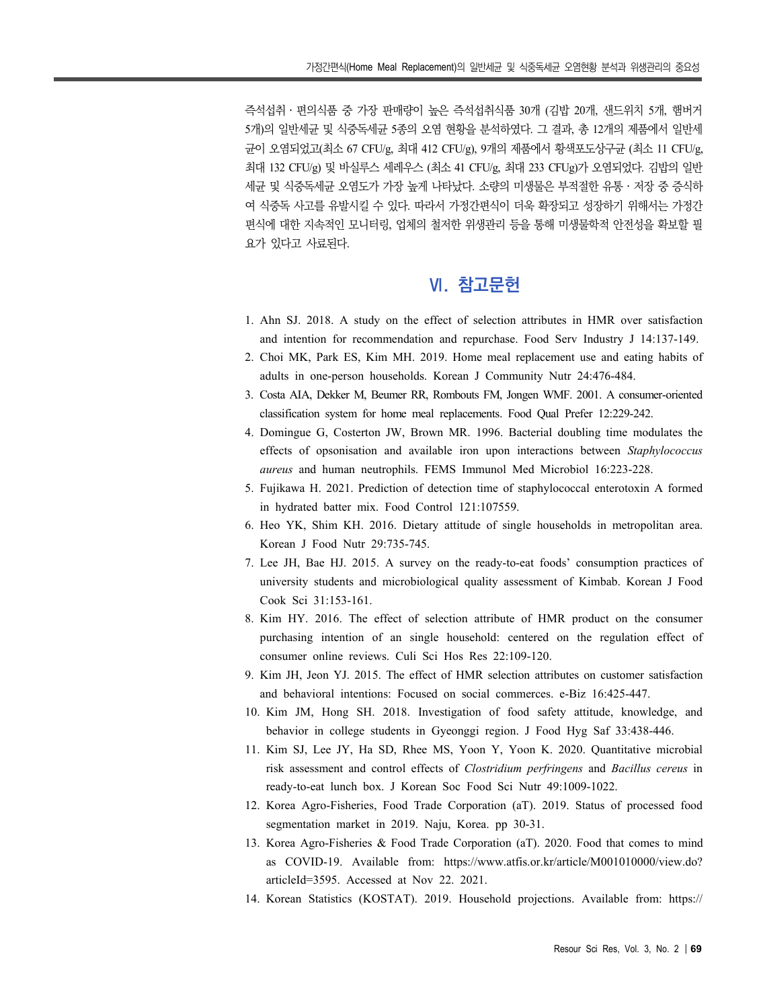즉석섭취․편의식품 중 가장 판매량이 높은 즉석섭취식품 30개 (김밥 20개, 샌드위치 5개, 햄버거 5개)의 일반세균 및 식중독세균 5종의 오염 현황을 분석하였다. 그 결과, 총 12개의 제품에서 일반세 균이 오염되었고(최소 67 CFU/g, 최대 412 CFU/g), 9개의 제품에서 황색포도상구균 (최소 11 CFU/g, 최대 132 CFU/g) 및 바실루스 세레우스 (최소 41 CFU/g, 최대 233 CFUg)가 오염되었다. 김밥의 일반 세균 및 식중독세균 오염도가 가장 높게 나타났다. 소량의 미생물은 부적절한 유통․저장 중 증식하 여 식중독 사고를 유발시킬 수 있다. 따라서 가정간편식이 더욱 확장되고 성장하기 위해서는 가정간 편식에 대한 지속적인 모니터링, 업체의 철저한 위생관리 등을 통해 미생물학적 안전성을 확보할 필 요가 있다고 사료된다.

## **Ⅵ. 참고문헌**

- 1. Ahn SJ. 2018. A study on the effect of selection attributes in HMR over satisfaction and intention for recommendation and repurchase. Food Serv Industry J 14:137-149.
- 2. Choi MK, Park ES, Kim MH. 2019. Home meal replacement use and eating habits of adults in one-person households. Korean J Community Nutr 24:476-484.
- 3. Costa AIA, Dekker M, Beumer RR, Rombouts FM, Jongen WMF. 2001. A consumer-oriented classification system for home meal replacements. Food Qual Prefer 12:229-242.
- 4. Domingue G, Costerton JW, Brown MR. 1996. Bacterial doubling time modulates the effects of opsonisation and available iron upon interactions between *Staphylococcus aureus* and human neutrophils. FEMS Immunol Med Microbiol 16:223-228.
- 5. Fujikawa H. 2021. Prediction of detection time of staphylococcal enterotoxin A formed in hydrated batter mix. Food Control 121:107559.
- 6. Heo YK, Shim KH. 2016. Dietary attitude of single households in metropolitan area. Korean J Food Nutr 29:735-745.
- 7. Lee JH, Bae HJ. 2015. A survey on the ready-to-eat foods' consumption practices of university students and microbiological quality assessment of Kimbab. Korean J Food Cook Sci 31:153-161.
- 8. Kim HY. 2016. The effect of selection attribute of HMR product on the consumer purchasing intention of an single household: centered on the regulation effect of consumer online reviews. Culi Sci Hos Res 22:109-120.
- 9. Kim JH, Jeon YJ. 2015. The effect of HMR selection attributes on customer satisfaction and behavioral intentions: Focused on social commerces. e-Biz 16:425-447.
- 10. Kim JM, Hong SH. 2018. Investigation of food safety attitude, knowledge, and behavior in college students in Gyeonggi region. J Food Hyg Saf 33:438-446.
- 11. Kim SJ, Lee JY, Ha SD, Rhee MS, Yoon Y, Yoon K. 2020. Quantitative microbial risk assessment and control effects of *Clostridium perfringens* and *Bacillus cereus* in ready-to-eat lunch box. J Korean Soc Food Sci Nutr 49:1009-1022.
- 12. Korea Agro-Fisheries, Food Trade Corporation (aT). 2019. Status of processed food segmentation market in 2019. Naju, Korea. pp 30-31.
- 13. Korea Agro-Fisheries & Food Trade Corporation (aT). 2020. Food that comes to mind as COVID-19. Available from: https://www.atfis.or.kr/article/M001010000/view.do? articleId=3595. Accessed at Nov 22. 2021.
- 14. Korean Statistics (KOSTAT). 2019. Household projections. Available from: https://